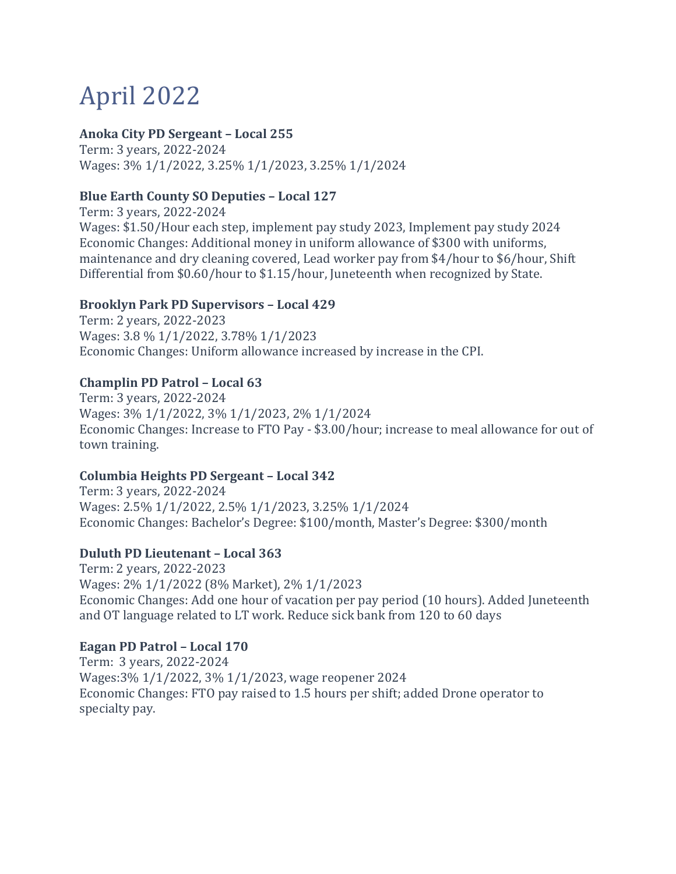# April 2022

## **Anoka City PD Sergeant – Local 255**

Term: 3 years, 2022-2024 Wages: 3% 1/1/2022, 3.25% 1/1/2023, 3.25% 1/1/2024

## **Blue Earth County SO Deputies – Local 127**

Term: 3 years, 2022-2024 Wages: \$1.50/Hour each step, implement pay study 2023, Implement pay study 2024 Economic Changes: Additional money in uniform allowance of \$300 with uniforms, maintenance and dry cleaning covered, Lead worker pay from \$4/hour to \$6/hour, Shift Differential from \$0.60/hour to \$1.15/hour, Juneteenth when recognized by State.

## **Brooklyn Park PD Supervisors – Local 429**

Term: 2 years, 2022-2023 Wages: 3.8 % 1/1/2022, 3.78% 1/1/2023 Economic Changes: Uniform allowance increased by increase in the CPI.

## **Champlin PD Patrol – Local 63**

Term: 3 years, 2022-2024 Wages: 3% 1/1/2022, 3% 1/1/2023, 2% 1/1/2024 Economic Changes: Increase to FTO Pay - \$3.00/hour; increase to meal allowance for out of town training.

## **Columbia Heights PD Sergeant – Local 342**

Term: 3 years, 2022-2024 Wages: 2.5% 1/1/2022, 2.5% 1/1/2023, 3.25% 1/1/2024 Economic Changes: Bachelor's Degree: \$100/month, Master's Degree: \$300/month

## **Duluth PD Lieutenant – Local 363**

Term: 2 years, 2022-2023 Wages: 2% 1/1/2022 (8% Market), 2% 1/1/2023 Economic Changes: Add one hour of vacation per pay period (10 hours). Added Juneteenth and OT language related to LT work. Reduce sick bank from 120 to 60 days

## **Eagan PD Patrol – Local 170**

Term: 3 years, 2022-2024 Wages:3% 1/1/2022, 3% 1/1/2023, wage reopener 2024 Economic Changes: FTO pay raised to 1.5 hours per shift; added Drone operator to specialty pay.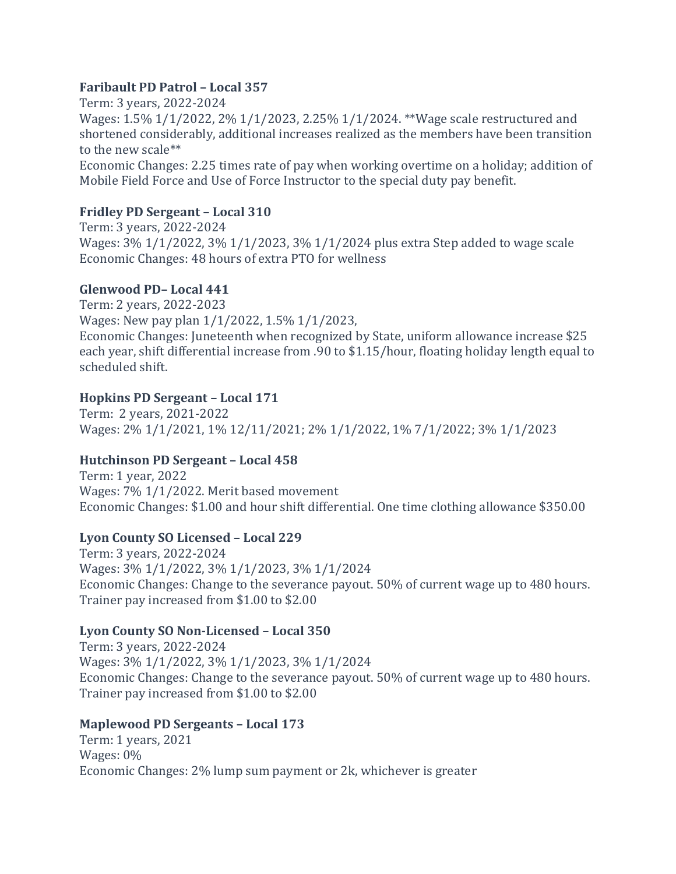## **Faribault PD Patrol – Local 357**

Term: 3 years, 2022-2024 Wages: 1.5% 1/1/2022, 2% 1/1/2023, 2.25% 1/1/2024. \*\*Wage scale restructured and shortened considerably, additional increases realized as the members have been transition to the new scale\*\* Economic Changes: 2.25 times rate of pay when working overtime on a holiday; addition of Mobile Field Force and Use of Force Instructor to the special duty pay benefit.

# **Fridley PD Sergeant – Local 310**

Term: 3 years, 2022-2024 Wages: 3% 1/1/2022, 3% 1/1/2023, 3% 1/1/2024 plus extra Step added to wage scale Economic Changes: 48 hours of extra PTO for wellness

# **Glenwood PD– Local 441**

Term: 2 years, 2022-2023 Wages: New pay plan 1/1/2022, 1.5% 1/1/2023, Economic Changes: Juneteenth when recognized by State, uniform allowance increase \$25 each year, shift differential increase from .90 to \$1.15/hour, floating holiday length equal to scheduled shift.

# **Hopkins PD Sergeant – Local 171**

Term: 2 years, 2021-2022 Wages: 2% 1/1/2021, 1% 12/11/2021; 2% 1/1/2022, 1% 7/1/2022; 3% 1/1/2023

# **Hutchinson PD Sergeant – Local 458**

Term: 1 year, 2022 Wages: 7% 1/1/2022. Merit based movement Economic Changes: \$1.00 and hour shift differential. One time clothing allowance \$350.00

# **Lyon County SO Licensed – Local 229**

Term: 3 years, 2022-2024 Wages: 3% 1/1/2022, 3% 1/1/2023, 3% 1/1/2024 Economic Changes: Change to the severance payout. 50% of current wage up to 480 hours. Trainer pay increased from \$1.00 to \$2.00

# **Lyon County SO Non-Licensed – Local 350**

Term: 3 years, 2022-2024 Wages: 3% 1/1/2022, 3% 1/1/2023, 3% 1/1/2024 Economic Changes: Change to the severance payout. 50% of current wage up to 480 hours. Trainer pay increased from \$1.00 to \$2.00

# **Maplewood PD Sergeants – Local 173**

Term: 1 years, 2021 Wages: 0% Economic Changes: 2% lump sum payment or 2k, whichever is greater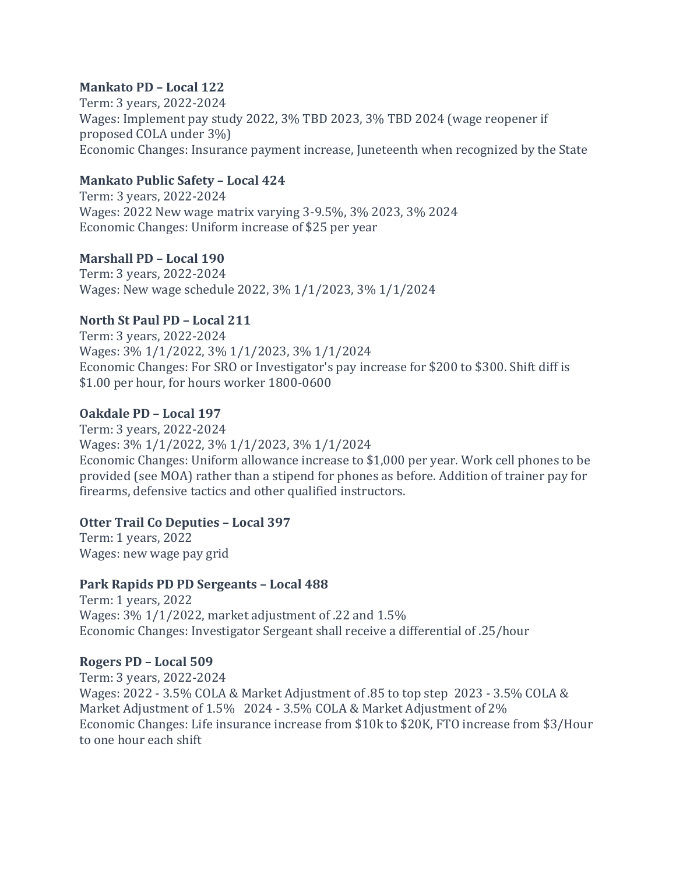## **Mankato PD – Local 122**

Term: 3 years, 2022-2024 Wages: Implement pay study 2022, 3% TBD 2023, 3% TBD 2024 (wage reopener if proposed COLA under 3%) Economic Changes: Insurance payment increase, Juneteenth when recognized by the State

## **Mankato Public Safety – Local 424**

Term: 3 years, 2022-2024 Wages: 2022 New wage matrix varying 3-9.5%, 3% 2023, 3% 2024 Economic Changes: Uniform increase of \$25 per year

## **Marshall PD – Local 190**

Term: 3 years, 2022-2024 Wages: New wage schedule 2022, 3% 1/1/2023, 3% 1/1/2024

## **North St Paul PD – Local 211**

Term: 3 years, 2022-2024 Wages: 3% 1/1/2022, 3% 1/1/2023, 3% 1/1/2024 Economic Changes: For SRO or Investigator's pay increase for \$200 to \$300. Shift diff is \$1.00 per hour, for hours worker 1800-0600

## **Oakdale PD – Local 197**

Term: 3 years, 2022-2024 Wages: 3% 1/1/2022, 3% 1/1/2023, 3% 1/1/2024 Economic Changes: Uniform allowance increase to \$1,000 per year. Work cell phones to be provided (see MOA) rather than a stipend for phones as before. Addition of trainer pay for firearms, defensive tactics and other qualified instructors.

## **Otter Trail Co Deputies – Local 397**

Term: 1 years, 2022 Wages: new wage pay grid

# **Park Rapids PD PD Sergeants – Local 488**

Term: 1 years, 2022 Wages: 3% 1/1/2022, market adjustment of .22 and 1.5% Economic Changes: Investigator Sergeant shall receive a differential of .25/hour

## **Rogers PD – Local 509**

Term: 3 years, 2022-2024 Wages: 2022 - 3.5% COLA & Market Adjustment of .85 to top step 2023 - 3.5% COLA & Market Adjustment of 1.5% 2024 - 3.5% COLA & Market Adjustment of 2% Economic Changes: Life insurance increase from \$10k to \$20K, FTO increase from \$3/Hour to one hour each shift